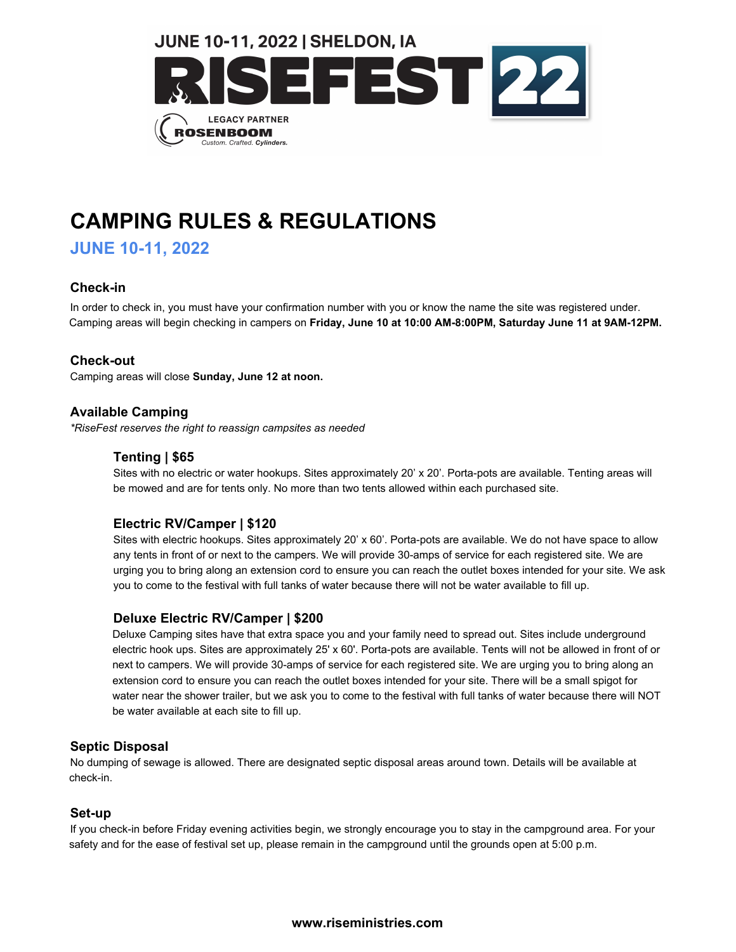

# **CAMPING RULES & REGULATIONS**

**JUNE 10-11, 2022**

# **Check-in**

In order to check in, you must have your confirmation number with you or know the name the site was registered under. Camping areas will begin checking in campers on **Friday, June 10 at 10:00 AM-8:00PM, Saturday June 11 at 9AM-12PM.** 

# **Check-out**

Camping areas will close **Sunday, June 12 at noon.** 

# **Available Camping**

*\*RiseFest reserves the right to reassign campsites as needed*

# **Tenting | \$65**

Sites with no electric or water hookups. Sites approximately 20' x 20'. Porta-pots are available. Tenting areas will be mowed and are for tents only. No more than two tents allowed within each purchased site.

# **Electric RV/Camper | \$120**

Sites with electric hookups. Sites approximately 20' x 60'. Porta-pots are available. We do not have space to allow any tents in front of or next to the campers. We will provide 30-amps of service for each registered site. We are urging you to bring along an extension cord to ensure you can reach the outlet boxes intended for your site. We ask you to come to the festival with full tanks of water because there will not be water available to fill up.

## **Deluxe Electric RV/Camper | \$200**

Deluxe Camping sites have that extra space you and your family need to spread out. Sites include underground electric hook ups. Sites are approximately 25' x 60'. Porta-pots are available. Tents will not be allowed in front of or next to campers. We will provide 30-amps of service for each registered site. We are urging you to bring along an extension cord to ensure you can reach the outlet boxes intended for your site. There will be a small spigot for water near the shower trailer, but we ask you to come to the festival with full tanks of water because there will NOT be water available at each site to fill up.

## **Septic Disposal**

No dumping of sewage is allowed. There are designated septic disposal areas around town. Details will be available at check-in.

## **Set-up**

If you check-in before Friday evening activities begin, we strongly encourage you to stay in the campground area. For your safety and for the ease of festival set up, please remain in the campground until the grounds open at 5:00 p.m.